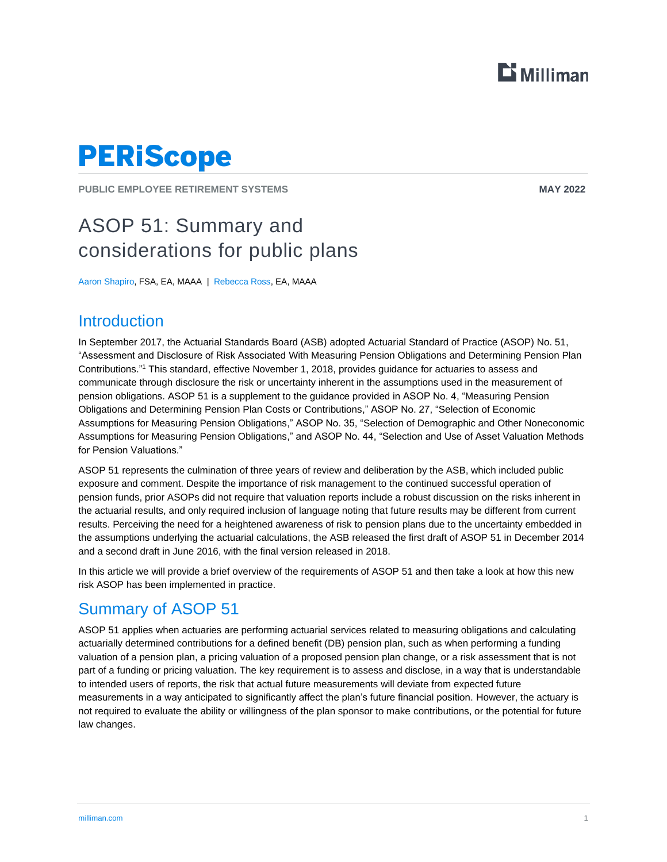

# **PERIScope**

**PUBLIC EMPLOYEE RETIREMENT SYSTEMS MAY 2022**

## ASOP 51: Summary and considerations for public plans

Aaron Shapiro, FSA, EA, MAAA | Rebecca Ross, EA, MAAA

### **Introduction**

In September 2017, the Actuarial Standards Board (ASB) adopted Actuarial Standard of Practice (ASOP) No. 51, "Assessment and Disclosure of Risk Associated With Measuring Pension Obligations and Determining Pension Plan Contributions." <sup>1</sup> This standard, effective November 1, 2018, provides guidance for actuaries to assess and communicate through disclosure the risk or uncertainty inherent in the assumptions used in the measurement of pension obligations. ASOP 51 is a supplement to the guidance provided in ASOP No. 4, "Measuring Pension Obligations and Determining Pension Plan Costs or Contributions," ASOP No. 27, "Selection of Economic Assumptions for Measuring Pension Obligations," ASOP No. 35, "Selection of Demographic and Other Noneconomic Assumptions for Measuring Pension Obligations," and ASOP No. 44, "Selection and Use of Asset Valuation Methods for Pension Valuations."

ASOP 51 represents the culmination of three years of review and deliberation by the ASB, which included public exposure and comment. Despite the importance of risk management to the continued successful operation of pension funds, prior ASOPs did not require that valuation reports include a robust discussion on the risks inherent in the actuarial results, and only required inclusion of language noting that future results may be different from current results. Perceiving the need for a heightened awareness of risk to pension plans due to the uncertainty embedded in the assumptions underlying the actuarial calculations, the ASB released the first draft of ASOP 51 in December 2014 and a second draft in June 2016, with the final version released in 2018.

In this article we will provide a brief overview of the requirements of ASOP 51 and then take a look at how this new risk ASOP has been implemented in practice.

## Summary of ASOP 51

ASOP 51 applies when actuaries are performing actuarial services related to measuring obligations and calculating actuarially determined contributions for a defined benefit (DB) pension plan, such as when performing a funding valuation of a pension plan, a pricing valuation of a proposed pension plan change, or a risk assessment that is not part of a funding or pricing valuation. The key requirement is to assess and disclose, in a way that is understandable to intended users of reports, the risk that actual future measurements will deviate from expected future measurements in a way anticipated to significantly affect the plan's future financial position. However, the actuary is not required to evaluate the ability or willingness of the plan sponsor to make contributions, or the potential for future law changes.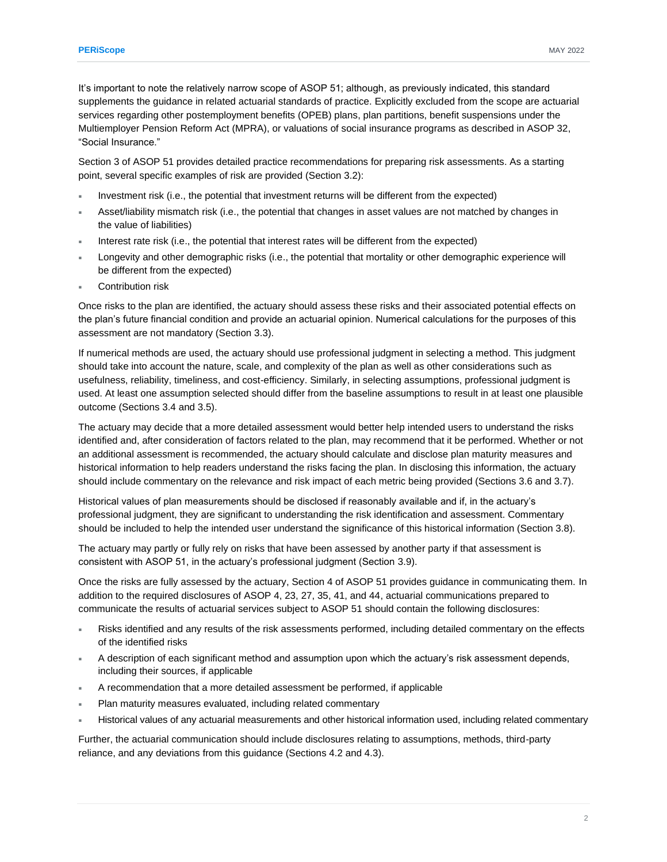It's important to note the relatively narrow scope of ASOP 51; although, as previously indicated, this standard supplements the guidance in related actuarial standards of practice. Explicitly excluded from the scope are actuarial services regarding other postemployment benefits (OPEB) plans, plan partitions, benefit suspensions under the Multiemployer Pension Reform Act (MPRA), or valuations of social insurance programs as described in ASOP 32, "Social Insurance."

Section 3 of ASOP 51 provides detailed practice recommendations for preparing risk assessments. As a starting point, several specific examples of risk are provided (Section 3.2):

- Investment risk (i.e., the potential that investment returns will be different from the expected)
- Asset/liability mismatch risk (i.e., the potential that changes in asset values are not matched by changes in the value of liabilities)
- Interest rate risk (i.e., the potential that interest rates will be different from the expected)
- Longevity and other demographic risks (i.e., the potential that mortality or other demographic experience will be different from the expected)
- Contribution risk

Once risks to the plan are identified, the actuary should assess these risks and their associated potential effects on the plan's future financial condition and provide an actuarial opinion. Numerical calculations for the purposes of this assessment are not mandatory (Section 3.3).

If numerical methods are used, the actuary should use professional judgment in selecting a method. This judgment should take into account the nature, scale, and complexity of the plan as well as other considerations such as usefulness, reliability, timeliness, and cost-efficiency. Similarly, in selecting assumptions, professional judgment is used. At least one assumption selected should differ from the baseline assumptions to result in at least one plausible outcome (Sections 3.4 and 3.5).

The actuary may decide that a more detailed assessment would better help intended users to understand the risks identified and, after consideration of factors related to the plan, may recommend that it be performed. Whether or not an additional assessment is recommended, the actuary should calculate and disclose plan maturity measures and historical information to help readers understand the risks facing the plan. In disclosing this information, the actuary should include commentary on the relevance and risk impact of each metric being provided (Sections 3.6 and 3.7).

Historical values of plan measurements should be disclosed if reasonably available and if, in the actuary's professional judgment, they are significant to understanding the risk identification and assessment. Commentary should be included to help the intended user understand the significance of this historical information (Section 3.8).

The actuary may partly or fully rely on risks that have been assessed by another party if that assessment is consistent with ASOP 51, in the actuary's professional judgment (Section 3.9).

Once the risks are fully assessed by the actuary, Section 4 of ASOP 51 provides guidance in communicating them. In addition to the required disclosures of ASOP 4, 23, 27, 35, 41, and 44, actuarial communications prepared to communicate the results of actuarial services subject to ASOP 51 should contain the following disclosures:

- Risks identified and any results of the risk assessments performed, including detailed commentary on the effects of the identified risks
- A description of each significant method and assumption upon which the actuary's risk assessment depends, including their sources, if applicable
- A recommendation that a more detailed assessment be performed, if applicable
- Plan maturity measures evaluated, including related commentary
- Historical values of any actuarial measurements and other historical information used, including related commentary

Further, the actuarial communication should include disclosures relating to assumptions, methods, third-party reliance, and any deviations from this guidance (Sections 4.2 and 4.3).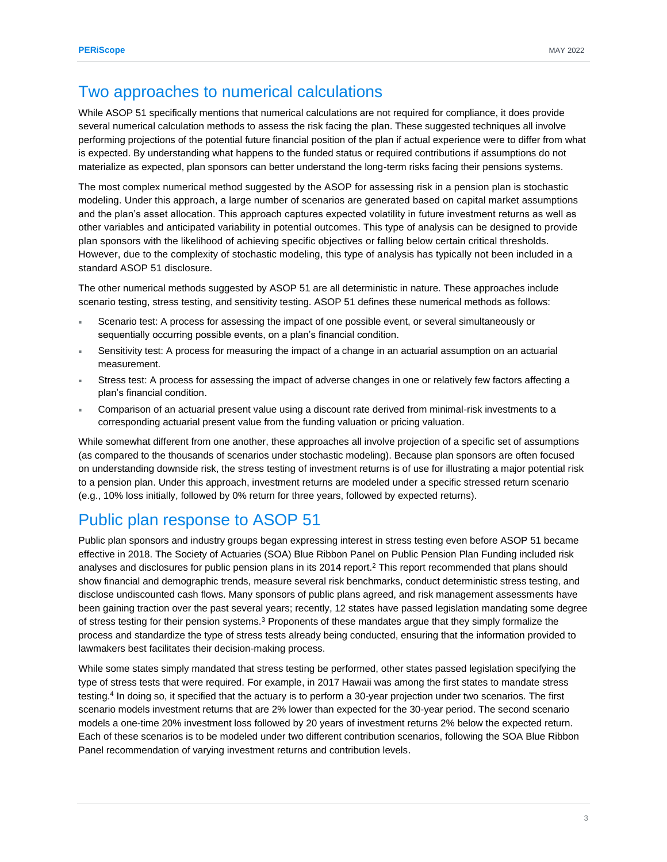#### Two approaches to numerical calculations

While ASOP 51 specifically mentions that numerical calculations are not required for compliance, it does provide several numerical calculation methods to assess the risk facing the plan. These suggested techniques all involve performing projections of the potential future financial position of the plan if actual experience were to differ from what is expected. By understanding what happens to the funded status or required contributions if assumptions do not materialize as expected, plan sponsors can better understand the long-term risks facing their pensions systems.

The most complex numerical method suggested by the ASOP for assessing risk in a pension plan is stochastic modeling. Under this approach, a large number of scenarios are generated based on capital market assumptions and the plan's asset allocation. This approach captures expected volatility in future investment returns as well as other variables and anticipated variability in potential outcomes. This type of analysis can be designed to provide plan sponsors with the likelihood of achieving specific objectives or falling below certain critical thresholds. However, due to the complexity of stochastic modeling, this type of analysis has typically not been included in a standard ASOP 51 disclosure.

The other numerical methods suggested by ASOP 51 are all deterministic in nature. These approaches include scenario testing, stress testing, and sensitivity testing. ASOP 51 defines these numerical methods as follows:

- Scenario test: A process for assessing the impact of one possible event, or several simultaneously or sequentially occurring possible events, on a plan's financial condition.
- Sensitivity test: A process for measuring the impact of a change in an actuarial assumption on an actuarial measurement.
- Stress test: A process for assessing the impact of adverse changes in one or relatively few factors affecting a plan's financial condition.
- Comparison of an actuarial present value using a discount rate derived from minimal-risk investments to a corresponding actuarial present value from the funding valuation or pricing valuation.

While somewhat different from one another, these approaches all involve projection of a specific set of assumptions (as compared to the thousands of scenarios under stochastic modeling). Because plan sponsors are often focused on understanding downside risk, the stress testing of investment returns is of use for illustrating a major potential risk to a pension plan. Under this approach, investment returns are modeled under a specific stressed return scenario (e.g., 10% loss initially, followed by 0% return for three years, followed by expected returns).

### Public plan response to ASOP 51

Public plan sponsors and industry groups began expressing interest in stress testing even before ASOP 51 became effective in 2018. The Society of Actuaries (SOA) Blue Ribbon Panel on Public Pension Plan Funding included risk analyses and disclosures for public pension plans in its 2014 report.<sup>2</sup> This report recommended that plans should show financial and demographic trends, measure several risk benchmarks, conduct deterministic stress testing, and disclose undiscounted cash flows. Many sponsors of public plans agreed, and risk management assessments have been gaining traction over the past several years; recently, 12 states have passed legislation mandating some degree of stress testing for their pension systems.<sup>3</sup> Proponents of these mandates argue that they simply formalize the process and standardize the type of stress tests already being conducted, ensuring that the information provided to lawmakers best facilitates their decision-making process.

While some states simply mandated that stress testing be performed, other states passed legislation specifying the type of stress tests that were required. For example, in 2017 Hawaii was among the first states to mandate stress testing.<sup>4</sup> In doing so, it specified that the actuary is to perform a 30-year projection under two scenarios. The first scenario models investment returns that are 2% lower than expected for the 30-year period. The second scenario models a one-time 20% investment loss followed by 20 years of investment returns 2% below the expected return. Each of these scenarios is to be modeled under two different contribution scenarios, following the SOA Blue Ribbon Panel recommendation of varying investment returns and contribution levels.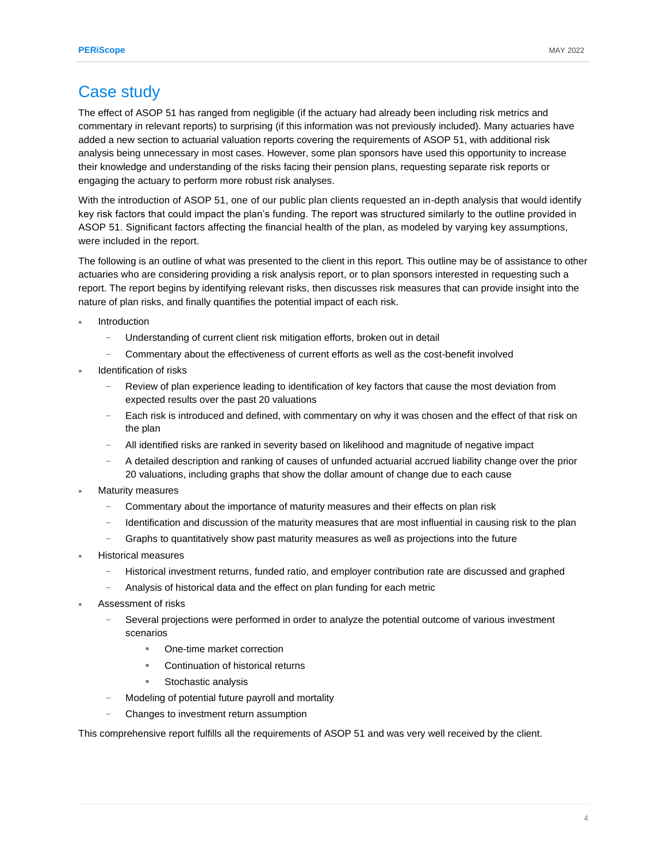### Case study

The effect of ASOP 51 has ranged from negligible (if the actuary had already been including risk metrics and commentary in relevant reports) to surprising (if this information was not previously included). Many actuaries have added a new section to actuarial valuation reports covering the requirements of ASOP 51, with additional risk analysis being unnecessary in most cases. However, some plan sponsors have used this opportunity to increase their knowledge and understanding of the risks facing their pension plans, requesting separate risk reports or engaging the actuary to perform more robust risk analyses.

With the introduction of ASOP 51, one of our public plan clients requested an in-depth analysis that would identify key risk factors that could impact the plan's funding. The report was structured similarly to the outline provided in ASOP 51. Significant factors affecting the financial health of the plan, as modeled by varying key assumptions, were included in the report.

The following is an outline of what was presented to the client in this report. This outline may be of assistance to other actuaries who are considering providing a risk analysis report, or to plan sponsors interested in requesting such a report. The report begins by identifying relevant risks, then discusses risk measures that can provide insight into the nature of plan risks, and finally quantifies the potential impact of each risk.

- Introduction
	- Understanding of current client risk mitigation efforts, broken out in detail
	- − Commentary about the effectiveness of current efforts as well as the cost-benefit involved
- Identification of risks
	- Review of plan experience leading to identification of key factors that cause the most deviation from expected results over the past 20 valuations
	- − Each risk is introduced and defined, with commentary on why it was chosen and the effect of that risk on the plan
	- − All identified risks are ranked in severity based on likelihood and magnitude of negative impact
	- − A detailed description and ranking of causes of unfunded actuarial accrued liability change over the prior 20 valuations, including graphs that show the dollar amount of change due to each cause
- Maturity measures
	- Commentary about the importance of maturity measures and their effects on plan risk
	- − Identification and discussion of the maturity measures that are most influential in causing risk to the plan
	- Graphs to quantitatively show past maturity measures as well as projections into the future
- Historical measures
	- − Historical investment returns, funded ratio, and employer contribution rate are discussed and graphed
	- Analysis of historical data and the effect on plan funding for each metric
- Assessment of risks
	- Several projections were performed in order to analyze the potential outcome of various investment scenarios
		- One-time market correction
		- Continuation of historical returns
		- Stochastic analysis
	- Modeling of potential future payroll and mortality
	- − Changes to investment return assumption

This comprehensive report fulfills all the requirements of ASOP 51 and was very well received by the client.